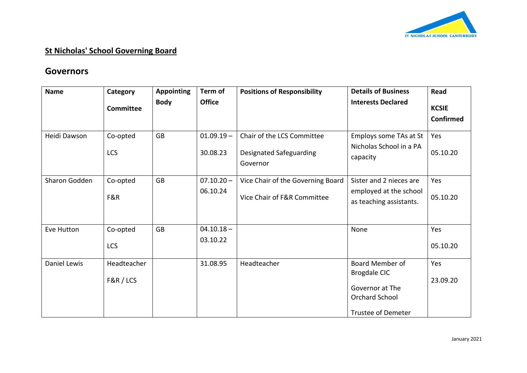

## **St Nicholas' School Governing Board**

## **Governors**

| <b>Name</b>   | Category         | <b>Appointing</b> | Term of       | <b>Positions of Responsibility</b>  | <b>Details of Business</b>                        | Read                             |
|---------------|------------------|-------------------|---------------|-------------------------------------|---------------------------------------------------|----------------------------------|
|               | <b>Committee</b> | <b>Body</b>       | <b>Office</b> |                                     | <b>Interests Declared</b>                         | <b>KCSIE</b><br><b>Confirmed</b> |
| Heidi Dawson  | Co-opted         | <b>GB</b>         | $01.09.19 -$  | Chair of the LCS Committee          | Employs some TAs at St                            | Yes                              |
|               | LCS              |                   | 30.08.23      | Designated Safeguarding<br>Governor | Nicholas School in a PA<br>capacity               | 05.10.20                         |
| Sharon Godden | Co-opted         | <b>GB</b>         | $07.10.20 -$  | Vice Chair of the Governing Board   | Sister and 2 nieces are                           | Yes                              |
|               | F&R              |                   | 06.10.24      | Vice Chair of F&R Committee         | employed at the school<br>as teaching assistants. | 05.10.20                         |
|               |                  |                   |               |                                     |                                                   |                                  |
| Eve Hutton    | Co-opted         | <b>GB</b>         | $04.10.18 -$  |                                     | None                                              | Yes                              |
|               | LCS              |                   | 03.10.22      |                                     |                                                   | 05.10.20                         |
| Daniel Lewis  | Headteacher      |                   | 31.08.95      | Headteacher                         | Board Member of                                   | Yes                              |
|               | F&R / LCS        |                   |               |                                     | <b>Brogdale CIC</b>                               | 23.09.20                         |
|               |                  |                   |               |                                     | Governor at The                                   |                                  |
|               |                  |                   |               |                                     | Orchard School                                    |                                  |
|               |                  |                   |               |                                     | <b>Trustee of Demeter</b>                         |                                  |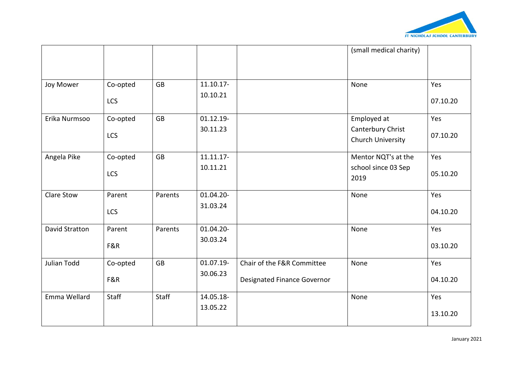

|                       |            |           |           |                             | (small medical charity) |          |
|-----------------------|------------|-----------|-----------|-----------------------------|-------------------------|----------|
|                       |            |           |           |                             |                         |          |
| Joy Mower             | Co-opted   | <b>GB</b> | 11.10.17- |                             | None                    | Yes      |
|                       | LCS        |           | 10.10.21  |                             |                         | 07.10.20 |
| Erika Nurmsoo         | Co-opted   | <b>GB</b> | 01.12.19- |                             | Employed at             | Yes      |
|                       | LCS        |           | 30.11.23  |                             | Canterbury Christ       | 07.10.20 |
|                       |            |           |           |                             | Church University       |          |
| Angela Pike           | Co-opted   | <b>GB</b> | 11.11.17- |                             | Mentor NQT's at the     | Yes      |
|                       | <b>LCS</b> |           | 10.11.21  |                             | school since 03 Sep     | 05.10.20 |
|                       |            |           |           |                             | 2019                    |          |
| Clare Stow            | Parent     | Parents   | 01.04.20- |                             | None                    | Yes      |
|                       | LCS        |           | 31.03.24  |                             |                         | 04.10.20 |
| <b>David Stratton</b> | Parent     | Parents   | 01.04.20- |                             | None                    | Yes      |
|                       | F&R        |           | 30.03.24  |                             |                         | 03.10.20 |
| Julian Todd           | Co-opted   | <b>GB</b> | 01.07.19- | Chair of the F&R Committee  | None                    | Yes      |
|                       | F&R        |           | 30.06.23  | Designated Finance Governor |                         | 04.10.20 |
| Emma Wellard          | Staff      | Staff     | 14.05.18- |                             | None                    | Yes      |
|                       |            |           | 13.05.22  |                             |                         | 13.10.20 |
|                       |            |           |           |                             |                         |          |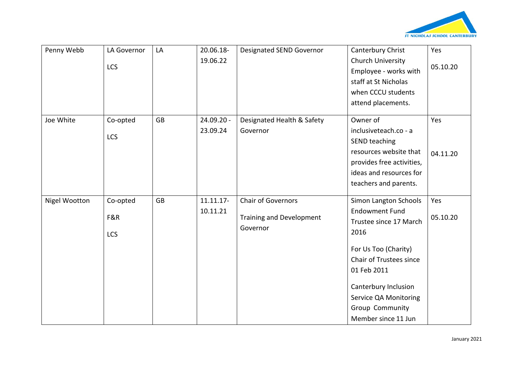

| Penny Webb    | LA Governor<br><b>LCS</b>     | LA        | 20.06.18-<br>19.06.22  | Designated SEND Governor                                   | Canterbury Christ<br><b>Church University</b>                                                                                                                                                                                                 | Yes<br>05.10.20 |
|---------------|-------------------------------|-----------|------------------------|------------------------------------------------------------|-----------------------------------------------------------------------------------------------------------------------------------------------------------------------------------------------------------------------------------------------|-----------------|
|               |                               |           |                        |                                                            | Employee - works with<br>staff at St Nicholas<br>when CCCU students<br>attend placements.                                                                                                                                                     |                 |
| Joe White     | Co-opted<br><b>LCS</b>        | <b>GB</b> | 24.09.20 -<br>23.09.24 | Designated Health & Safety<br>Governor                     | Owner of<br>inclusiveteach.co - a<br>SEND teaching<br>resources website that<br>provides free activities,<br>ideas and resources for<br>teachers and parents.                                                                                 | Yes<br>04.11.20 |
| Nigel Wootton | Co-opted<br>F&R<br><b>LCS</b> | <b>GB</b> | 11.11.17-<br>10.11.21  | Chair of Governors<br>Training and Development<br>Governor | Simon Langton Schools<br><b>Endowment Fund</b><br>Trustee since 17 March<br>2016<br>For Us Too (Charity)<br>Chair of Trustees since<br>01 Feb 2011<br>Canterbury Inclusion<br>Service QA Monitoring<br>Group Community<br>Member since 11 Jun | Yes<br>05.10.20 |